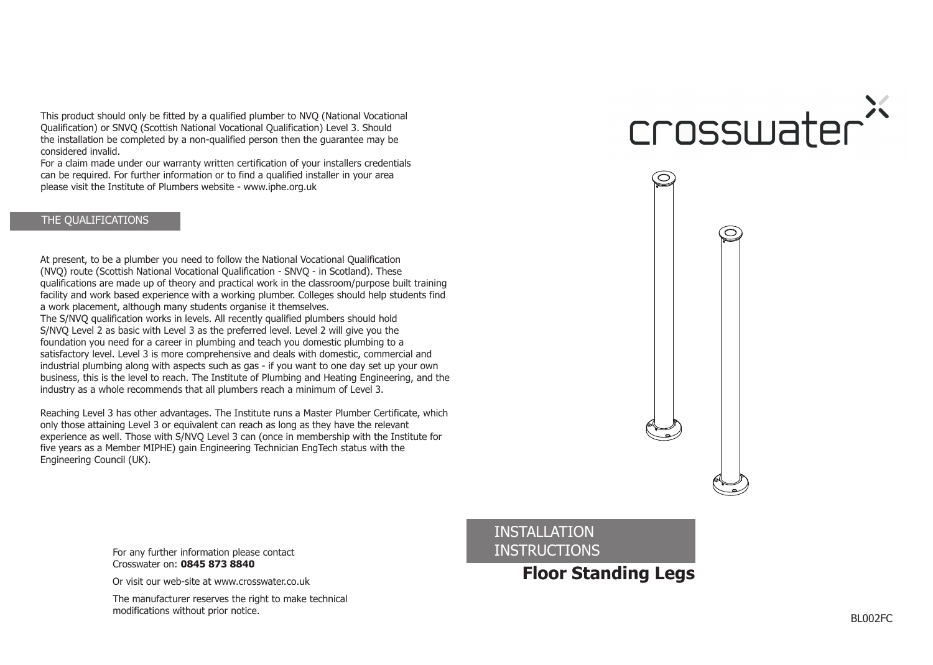This product should only be fitted by a qualified plumber to NVQ (National Vocational Qualification) or SNVQ (Scottish National Vocational Qualification) Level 3. Should the installation be completed by a non-qualified person then the guarantee may be considered invalid.

For a claim made under our warranty written certification of your installers credentials can be required. For further information or to find a qualified installer in your area please visit the Institute of Plumbers website - www.iphe.org.uk

# THE QUALIFICATIONS

At present, to be a plumber you need to follow the National Vocational Qualification (NVQ) route (Scottish National Vocational Qualification - SNVQ - in Scotland). These qualifications are made up of theory and practical work in the classroom/purpose built training facility and work based experience with a working plumber. Colleges should help students find a work placement, although many students organise it themselves.

The S/NVQ qualification works in levels. All recently qualified plumbers should hold S/NVQ Level 2 as basic with Level 3 as the preferred level. Level 2 will give you the foundation you need for a career in plumbing and teach you domestic plumbing to a satisfactory level. Level 3 is more comprehensive and deals with domestic, commercial and industrial plumbing along with aspects such as gas - if you want to one day set up your own business, this is the level to reach. The Institute of Plumbing and Heating Engineering, and the industry as a whole recommends that all plumbers reach a minimum of Level 3.

Reaching Level 3 has other advantages. The Institute runs a Master Plumber Certificate, which only those attaining Level 3 or equivalent can reach as long as they have the relevant experience as well. Those with S/NVQ Level 3 can (once in membership with the Institute for five years as a Member MIPHE) gain Engineering Technician EngTech status with the Engineering Council (UK).

# crosswater'



For any further information please contact **INSTRUCTIONS** Crosswater on: **0845 873 8840**

Or visit our web-site at www.crosswater.co.uk

The manufacturer reserves the right to make technical modifications without prior notice.

INSTALLATION

**Floor Standing Legs**